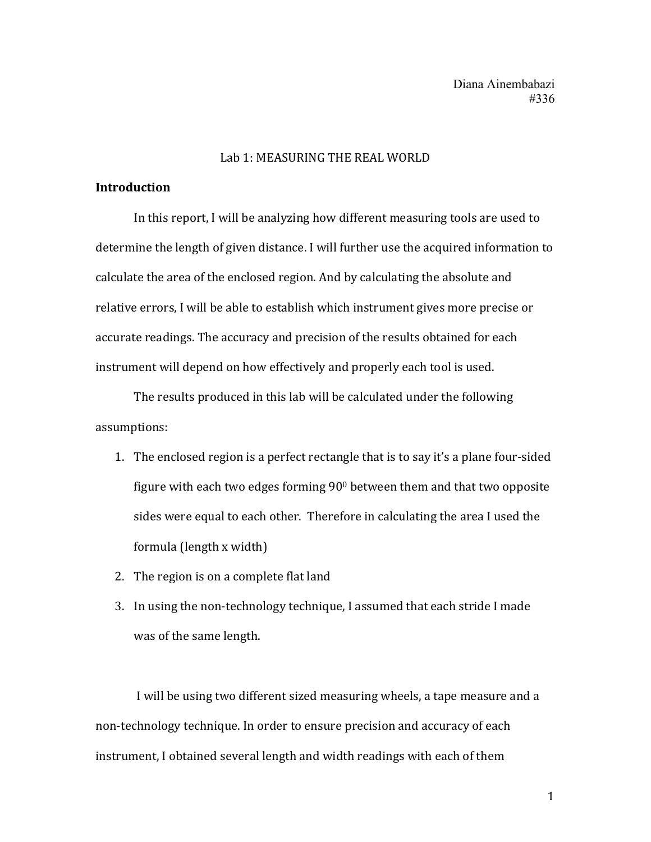#### Lab 1: MEASURING THE REAL WORLD

## **Introduction**

In this report, I will be analyzing how different measuring tools are used to determine the length of given distance. I will further use the acquired information to calculate the area of the enclosed region. And by calculating the absolute and relative errors, I will be able to establish which instrument gives more precise or accurate readings. The accuracy and precision of the results obtained for each instrument will depend on how effectively and properly each tool is used.

The results produced in this lab will be calculated under the following assumptions:

- 1. The enclosed region is a perfect rectangle that is to say it's a plane four-sided figure with each two edges forming  $90^{\circ}$  between them and that two opposite sides were equal to each other. Therefore in calculating the area I used the formula  $\left($ length x width $\right)$
- 2. The region is on a complete flat land
- 3. In using the non-technology technique, I assumed that each stride I made was of the same length.

I will be using two different sized measuring wheels, a tape measure and a non-technology technique. In order to ensure precision and accuracy of each instrument, I obtained several length and width readings with each of them

1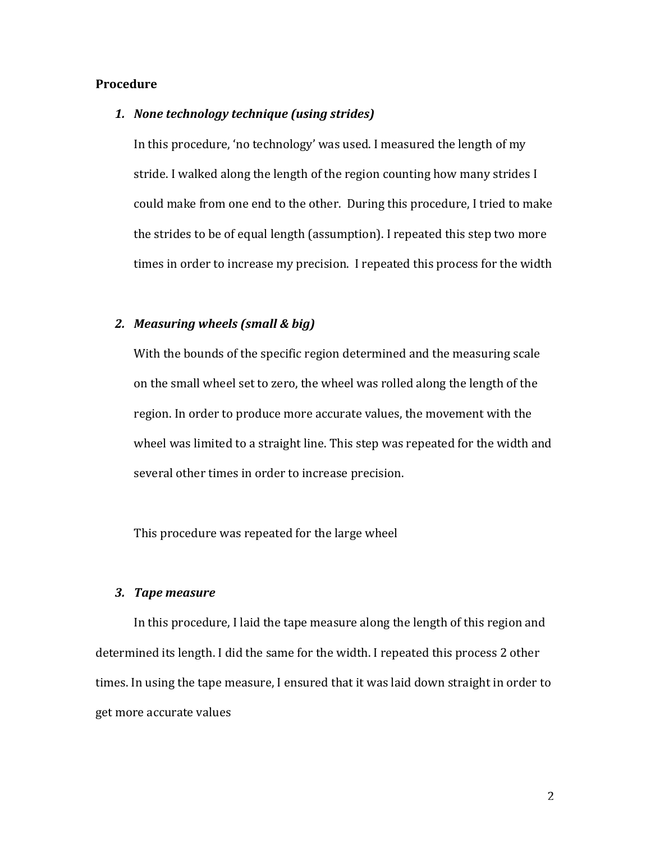#### **Procedure**

#### 1. None technology technique (using strides)

In this procedure, 'no technology' was used. I measured the length of my stride. I walked along the length of the region counting how many strides I could make from one end to the other. During this procedure, I tried to make the strides to be of equal length (assumption). I repeated this step two more times in order to increase my precision. I repeated this process for the width

#### **2.** *Measuring* wheels (small & big)

With the bounds of the specific region determined and the measuring scale on the small wheel set to zero, the wheel was rolled along the length of the region. In order to produce more accurate values, the movement with the wheel was limited to a straight line. This step was repeated for the width and several other times in order to increase precision.

This procedure was repeated for the large wheel

#### *3. Tape measure*

In this procedure, I laid the tape measure along the length of this region and determined its length. I did the same for the width. I repeated this process 2 other times. In using the tape measure, I ensured that it was laid down straight in order to get more accurate values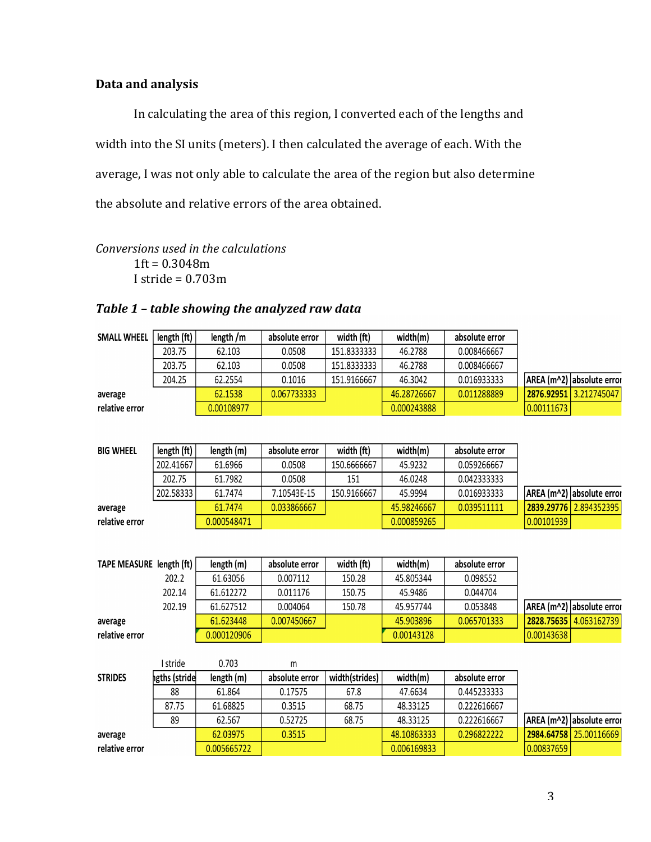# **Data and analysis**

In calculating the area of this region, I converted each of the lengths and width into the SI units (meters). I then calculated the average of each. With the average, I was not only able to calculate the area of the region but also determine the absolute and relative errors of the area obtained.

*Conversions used in the calculations*  $1ft = 0.3048m$ I stride  $= 0.703$ m

## Table 1 - table showing the analyzed raw data

| <b>SMALL WHEEL</b> | length (ft) $ $ | length /m  | absolute error | width (ft)  | width(m)    | absolute error |            |                           |
|--------------------|-----------------|------------|----------------|-------------|-------------|----------------|------------|---------------------------|
|                    | 203.75          | 62.103     | 0.0508         | 151.8333333 | 46.2788     | 0.008466667    |            |                           |
|                    | 203.75          | 62.103     | 0.0508         | 151.8333333 | 46.2788     | 0.008466667    |            |                           |
|                    | 204.25          | 62.2554    | 0.1016         | 151.9166667 | 46.3042     | 0.016933333    |            | AREA (m^2) absolute error |
| average            |                 | 62.1538    | 0.067733333    |             | 46.28726667 | 0.011288889    |            | 2876.92951 3.212745047    |
| relative error     |                 | 0.00108977 |                |             | 0.000243888 |                | 0.00111673 |                           |
|                    |                 |            |                |             |             |                |            |                           |

| <b>BIG WHEEL</b> | length (ft) | length (m)  | absolute error | width (ft)  | width(m)    | absolute error |            |                                 |
|------------------|-------------|-------------|----------------|-------------|-------------|----------------|------------|---------------------------------|
|                  | 202.41667   | 61.6966     | 0.0508         | 150.6666667 | 45.9232     | 0.059266667    |            |                                 |
|                  | 202.75      | 61.7982     | 0.0508         | 151         | 46.0248     | 0.042333333    |            |                                 |
|                  | 202.58333   | 61.7474     | 7.10543E-15    | 150.9166667 | 45.9994     | 0.016933333    |            | AREA (m^2)   absolute error     |
| average          |             | 61.7474     | 0.033866667    |             | 45.98246667 | 0.039511111    |            | <b>2839.29776  </b> 2.894352395 |
| relative error   |             | 0.000548471 |                |             | 0.000859265 |                | 0.00101939 |                                 |

| TAPE MEASURE length (ft) $ $ | length (m)  | absolute error | width (ft) | width(m)   | absolute error |            |                                  |
|------------------------------|-------------|----------------|------------|------------|----------------|------------|----------------------------------|
| 202.2                        | 61.63056    | 0.007112       | 150.28     | 45.805344  | 0.098552       |            |                                  |
| 202.14                       | 61.612272   | 0.011176       | 150.75     | 45.9486    | 0.044704       |            |                                  |
| 202.19                       | 61.627512   | 0.004064       | 150.78     | 45.957744  | 0.053848       |            | <b>AREA (m^2) absolute error</b> |
| average                      | 61.623448   | 0.007450667    |            | 45.903896  | 0.065701333    |            | 2828.75635 4.063162739           |
| relative error               | 0.000120906 |                |            | 0.00143128 |                | 0.00143638 |                                  |

|                | I stride      | 0.703       | m              |                |             |                |            |                                  |
|----------------|---------------|-------------|----------------|----------------|-------------|----------------|------------|----------------------------------|
| <b>STRIDES</b> | hgths (stride | length (m)  | absolute error | width(strides) | width(m)    | absolute error |            |                                  |
|                | 88            | 61.864      | 0.17575        | 67.8           | 47.6634     | 0.445233333    |            |                                  |
|                | 87.75         | 61.68825    | 0.3515         | 68.75          | 48.33125    | 0.222616667    |            |                                  |
|                | 89            | 62.567      | 0.52725        | 68.75          | 48.33125    | 0.222616667    |            | <b>AREA (m^2) absolute error</b> |
| average        |               | 62.03975    | 0.3515         |                | 48.10863333 | 0.296822222    |            | 2984.64758   25.00116669         |
| relative error |               | 0.005665722 |                |                | 0.006169833 |                | 0.00837659 |                                  |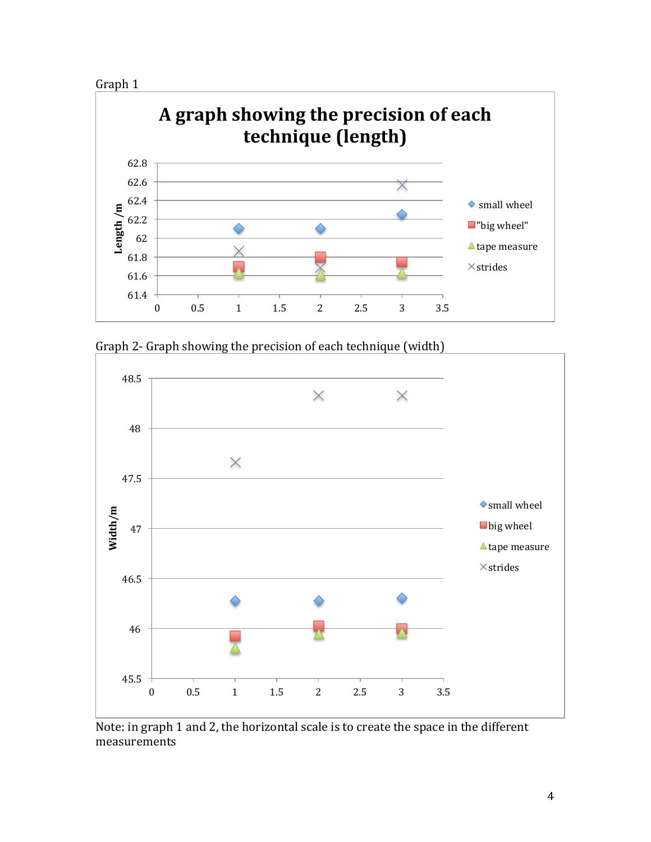



Graph 2- Graph showing the precision of each technique (width)



Note: in graph 1 and 2, the horizontal scale is to create the space in the different measurements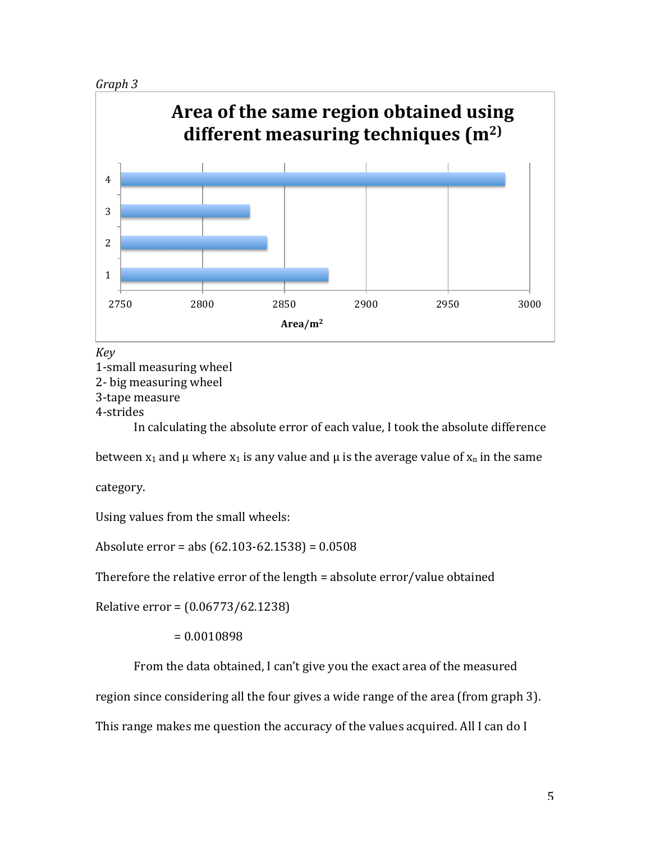



*Key* 

1-small measuring wheel 2- big measuring wheel 3-tape measure 4-strides 

In calculating the absolute error of each value, I took the absolute difference

between  $x_1$  and  $\mu$  where  $x_1$  is any value and  $\mu$  is the average value of  $x_n$  in the same

category.

Using values from the small wheels:

Absolute  $error = abs(62.103-62.1538) = 0.0508$ 

Therefore the relative error of the length  $=$  absolute error/value obtained

Relative error =  $(0.06773/62.1238)$ 

 $= 0.0010898$ 

From the data obtained, I can't give you the exact area of the measured

region since considering all the four gives a wide range of the area (from graph 3).

This range makes me question the accuracy of the values acquired. All I can do I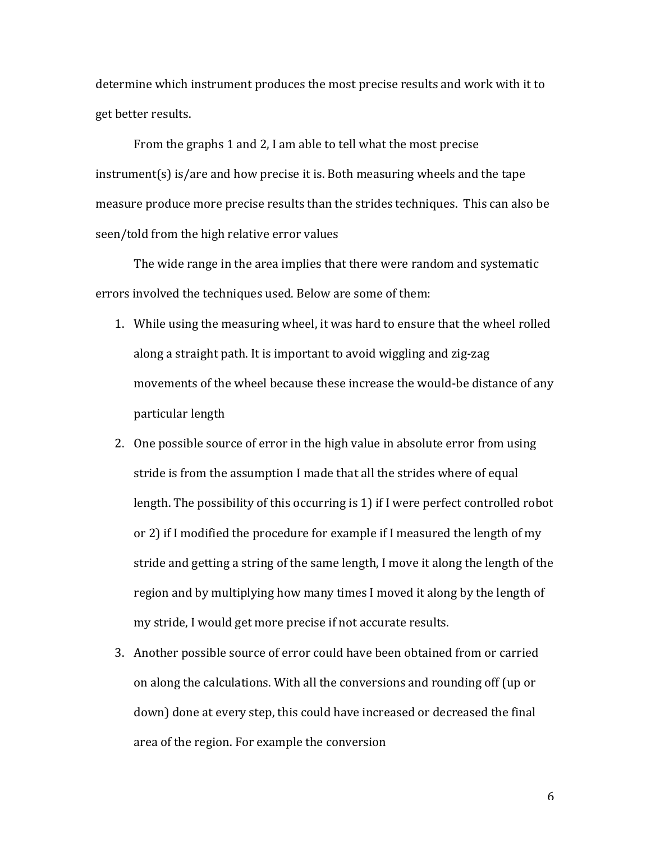determine which instrument produces the most precise results and work with it to get better results.

From the graphs 1 and 2, I am able to tell what the most precise  $instructor(s)$  is/are and how precise it is. Both measuring wheels and the tape measure produce more precise results than the strides techniques. This can also be seen/told from the high relative error values

The wide range in the area implies that there were random and systematic errors involved the techniques used. Below are some of them:

- 1. While using the measuring wheel, it was hard to ensure that the wheel rolled along a straight path. It is important to avoid wiggling and zig-zag movements of the wheel because these increase the would-be distance of any particular length
- 2. One possible source of error in the high value in absolute error from using stride is from the assumption I made that all the strides where of equal length. The possibility of this occurring is 1) if I were perfect controlled robot or 2) if I modified the procedure for example if I measured the length of my stride and getting a string of the same length, I move it along the length of the region and by multiplying how many times I moved it along by the length of my stride, I would get more precise if not accurate results.
- 3. Another possible source of error could have been obtained from or carried on along the calculations. With all the conversions and rounding off (up or down) done at every step, this could have increased or decreased the final area of the region. For example the conversion

6